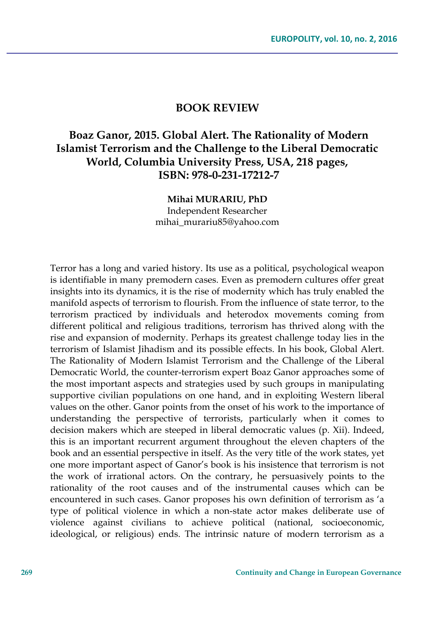## **BOOK REVIEW**

## **Boaz Ganor, 2015. Global Alert. The Rationality of Modern Islamist Terrorism and the Challenge to the Liberal Democratic World, Columbia University Press, USA, 218 pages, ISBN: 978-0-231-17212-7**

**Mihai MURARIU, PhD** Independent Researcher mihai\_murariu85@yahoo.com

Terror has a long and varied history. Its use as a political, psychological weapon is identifiable in many premodern cases. Even as premodern cultures offer great insights into its dynamics, it is the rise of modernity which has truly enabled the manifold aspects of terrorism to flourish. From the influence of state terror, to the terrorism practiced by individuals and heterodox movements coming from different political and religious traditions, terrorism has thrived along with the rise and expansion of modernity. Perhaps its greatest challenge today lies in the terrorism of Islamist Jihadism and its possible effects. In his book, Global Alert. The Rationality of Modern Islamist Terrorism and the Challenge of the Liberal Democratic World, the counter-terrorism expert Boaz Ganor approaches some of the most important aspects and strategies used by such groups in manipulating supportive civilian populations on one hand, and in exploiting Western liberal values on the other. Ganor points from the onset of his work to the importance of understanding the perspective of terrorists, particularly when it comes to decision makers which are steeped in liberal democratic values (p. Xii). Indeed, this is an important recurrent argument throughout the eleven chapters of the book and an essential perspective in itself. As the very title of the work states, yet one more important aspect of Ganor's book is his insistence that terrorism is not the work of irrational actors. On the contrary, he persuasively points to the rationality of the root causes and of the instrumental causes which can be encountered in such cases. Ganor proposes his own definition of terrorism as 'a type of political violence in which a non-state actor makes deliberate use of violence against civilians to achieve political (national, socioeconomic, ideological, or religious) ends. The intrinsic nature of modern terrorism as a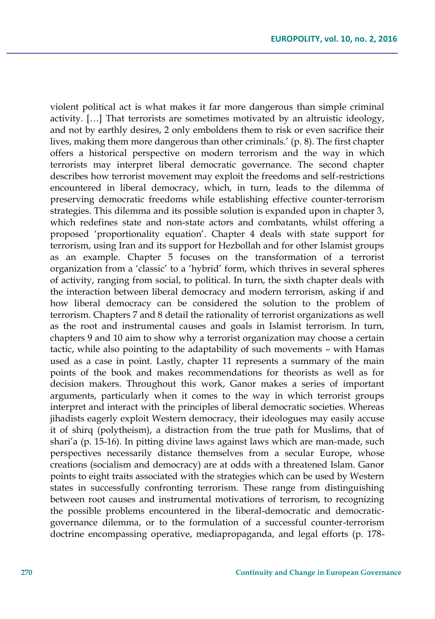violent political act is what makes it far more dangerous than simple criminal activity. […] That terrorists are sometimes motivated by an altruistic ideology, and not by earthly desires, 2 only emboldens them to risk or even sacrifice their lives, making them more dangerous than other criminals.' (p. 8). The first chapter offers a historical perspective on modern terrorism and the way in which terrorists may interpret liberal democratic governance. The second chapter describes how terrorist movement may exploit the freedoms and self-restrictions encountered in liberal democracy, which, in turn, leads to the dilemma of preserving democratic freedoms while establishing effective counter-terrorism strategies. This dilemma and its possible solution is expanded upon in chapter 3, which redefines state and non-state actors and combatants, whilst offering a proposed 'proportionality equation'. Chapter 4 deals with state support for terrorism, using Iran and its support for Hezbollah and for other Islamist groups as an example. Chapter 5 focuses on the transformation of a terrorist organization from a 'classic' to a 'hybrid' form, which thrives in several spheres of activity, ranging from social, to political. In turn, the sixth chapter deals with the interaction between liberal democracy and modern terrorism, asking if and how liberal democracy can be considered the solution to the problem of terrorism. Chapters 7 and 8 detail the rationality of terrorist organizations as well as the root and instrumental causes and goals in Islamist terrorism. In turn, chapters 9 and 10 aim to show why a terrorist organization may choose a certain tactic, while also pointing to the adaptability of such movements – with Hamas used as a case in point. Lastly, chapter 11 represents a summary of the main points of the book and makes recommendations for theorists as well as for decision makers. Throughout this work, Ganor makes a series of important arguments, particularly when it comes to the way in which terrorist groups interpret and interact with the principles of liberal democratic societies. Whereas jihadists eagerly exploit Western democracy, their ideologues may easily accuse it of shirq (polytheism), a distraction from the true path for Muslims, that of shari'a (p. 15-16). In pitting divine laws against laws which are man-made, such perspectives necessarily distance themselves from a secular Europe, whose creations (socialism and democracy) are at odds with a threatened Islam. Ganor points to eight traits associated with the strategies which can be used by Western states in successfully confronting terrorism. These range from distinguishing between root causes and instrumental motivations of terrorism, to recognizing the possible problems encountered in the liberal-democratic and democraticgovernance dilemma, or to the formulation of a successful counter-terrorism doctrine encompassing operative, mediapropaganda, and legal efforts (p. 178-